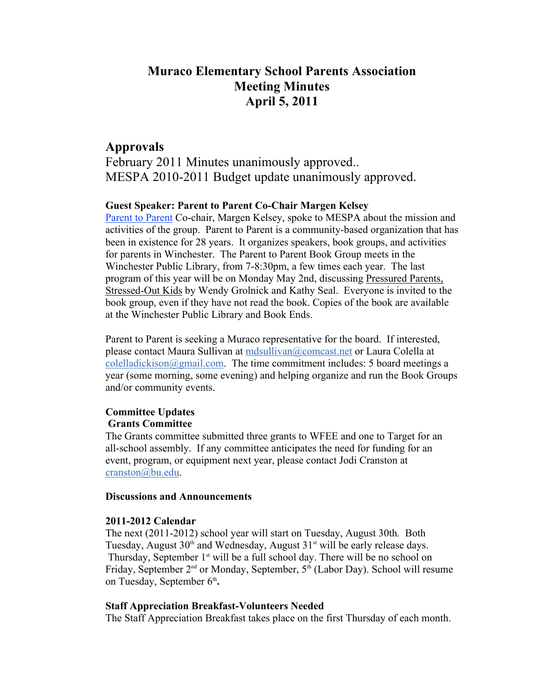# **Muraco Elementary School Parents Association Meeting Minutes April 5, 2011**

# **Approvals**

February 2011 Minutes unanimously approved.. MESPA 2010-2011 Budget update unanimously approved.

# **Guest Speaker: Parent to Parent Co-Chair Margen Kelsey**

Parent to Parent Co-chair, Margen Kelsey, spoke to MESPA about the mission and activities of the group. Parent to Parent is a community-based organization that has been in existence for 28 years. It organizes speakers, book groups, and activities for parents in Winchester. The Parent to Parent Book Group meets in the Winchester Public Library, from 7-8:30pm, a few times each year. The last program of this year will be on Monday May 2nd, discussing Pressured Parents, Stressed-Out Kids by Wendy Grolnick and Kathy Seal. Everyone is invited to the book group, even if they have not read the book. Copies of the book are available at the Winchester Public Library and Book Ends.

Parent to Parent is seeking a Muraco representative for the board. If interested, please contact Maura Sullivan at mdsullivan@comcast.net or Laura Colella at colelladickison@gmail.com. The time commitment includes: 5 board meetings a year (some morning, some evening) and helping organize and run the Book Groups and/or community events.

# **Committee Updates Grants Committee**

The Grants committee submitted three grants to WFEE and one to Target for an all-school assembly. If any committee anticipates the need for funding for an event, program, or equipment next year, please contact Jodi Cranston at cranston@bu.edu.

### **Discussions and Announcements**

### **2011-2012 Calendar**

The next (2011-2012) school year will start on Tuesday, August 30th*.* Both Tuesday, August  $30<sup>th</sup>$  and Wednesday, August  $31<sup>st</sup>$  will be early release days. Thursday, September  $1<sup>st</sup>$  will be a full school day. There will be no school on Friday, September 2<sup>nd</sup> or Monday, September, 5<sup>th</sup> (Labor Day). School will resume on Tuesday, September 6<sup>th</sup>.

# **Staff Appreciation Breakfast-Volunteers Needed**

The Staff Appreciation Breakfast takes place on the first Thursday of each month.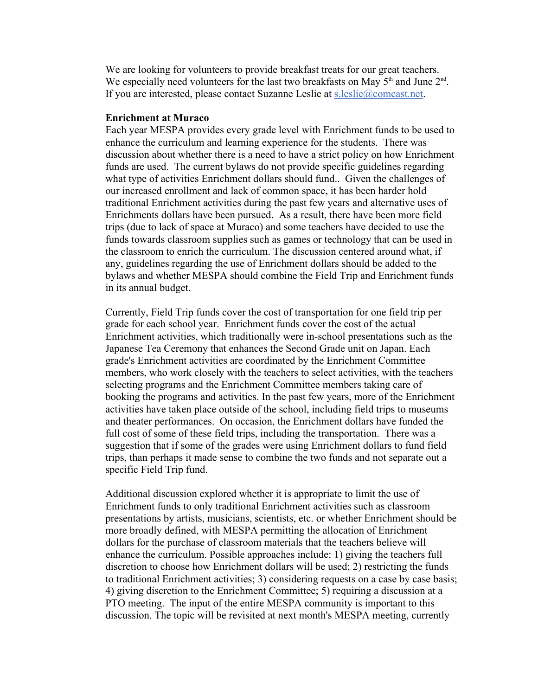We are looking for volunteers to provide breakfast treats for our great teachers. We especially need volunteers for the last two breakfasts on May  $5<sup>th</sup>$  and June  $2<sup>nd</sup>$ . If you are interested, please contact Suzanne Leslie at s.leslie@comcast.net.

### **Enrichment at Muraco**

Each year MESPA provides every grade level with Enrichment funds to be used to enhance the curriculum and learning experience for the students. There was discussion about whether there is a need to have a strict policy on how Enrichment funds are used. The current bylaws do not provide specific guidelines regarding what type of activities Enrichment dollars should fund.. Given the challenges of our increased enrollment and lack of common space, it has been harder hold traditional Enrichment activities during the past few years and alternative uses of Enrichments dollars have been pursued. As a result, there have been more field trips (due to lack of space at Muraco) and some teachers have decided to use the funds towards classroom supplies such as games or technology that can be used in the classroom to enrich the curriculum. The discussion centered around what, if any, guidelines regarding the use of Enrichment dollars should be added to the bylaws and whether MESPA should combine the Field Trip and Enrichment funds in its annual budget.

Currently, Field Trip funds cover the cost of transportation for one field trip per grade for each school year. Enrichment funds cover the cost of the actual Enrichment activities, which traditionally were in-school presentations such as the Japanese Tea Ceremony that enhances the Second Grade unit on Japan. Each grade's Enrichment activities are coordinated by the Enrichment Committee members, who work closely with the teachers to select activities, with the teachers selecting programs and the Enrichment Committee members taking care of booking the programs and activities. In the past few years, more of the Enrichment activities have taken place outside of the school, including field trips to museums and theater performances. On occasion, the Enrichment dollars have funded the full cost of some of these field trips, including the transportation. There was a suggestion that if some of the grades were using Enrichment dollars to fund field trips, than perhaps it made sense to combine the two funds and not separate out a specific Field Trip fund.

Additional discussion explored whether it is appropriate to limit the use of Enrichment funds to only traditional Enrichment activities such as classroom presentations by artists, musicians, scientists, etc. or whether Enrichment should be more broadly defined, with MESPA permitting the allocation of Enrichment dollars for the purchase of classroom materials that the teachers believe will enhance the curriculum. Possible approaches include: 1) giving the teachers full discretion to choose how Enrichment dollars will be used; 2) restricting the funds to traditional Enrichment activities; 3) considering requests on a case by case basis; 4) giving discretion to the Enrichment Committee; 5) requiring a discussion at a PTO meeting. The input of the entire MESPA community is important to this discussion. The topic will be revisited at next month's MESPA meeting, currently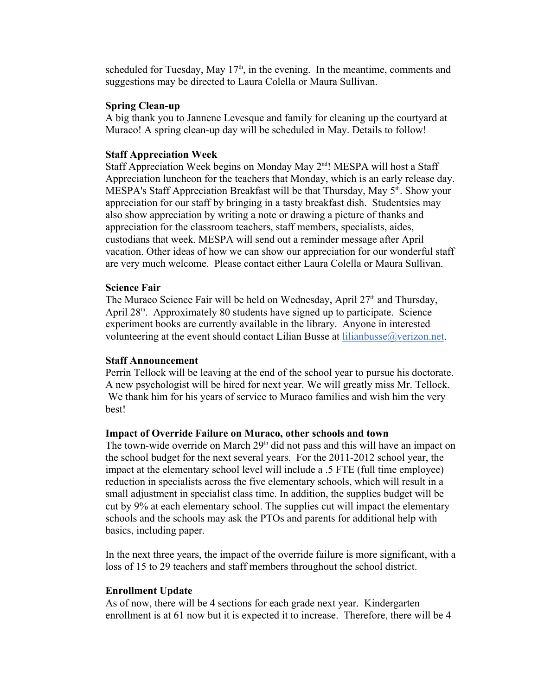scheduled for Tuesday, May  $17<sup>th</sup>$ , in the evening. In the meantime, comments and suggestions may be directed to Laura Colella or Maura Sullivan.

# **Spring Clean-up**

A big thank you to Jannene Levesque and family for cleaning up the courtyard at Muraco! A spring clean-up day will be scheduled in May. Details to follow!

### **Staff Appreciation Week**

Staff Appreciation Week begins on Monday May 2<sup>nd</sup>! MESPA will host a Staff Appreciation luncheon for the teachers that Monday, which is an early release day. MESPA's Staff Appreciation Breakfast will be that Thursday, May 5<sup>th</sup>. Show your appreciation for our staff by bringing in a tasty breakfast dish. Studentsies may also show appreciation by writing a note or drawing a picture of thanks and appreciation for the classroom teachers, staff members, specialists, aides, custodians that week. MESPA will send out a reminder message after April vacation. Other ideas of how we can show our appreciation for our wonderful staff are very much welcome. Please contact either Laura Colella or Maura Sullivan.

#### **Science Fair**

The Muraco Science Fair will be held on Wednesday, April  $27<sup>th</sup>$  and Thursday, April 28<sup>th</sup>. Approximately 80 students have signed up to participate. Science experiment books are currently available in the library. Anyone in interested volunteering at the event should contact Lilian Busse at lilianbusse@verizon.net.

#### **Staff Announcement**

Perrin Tellock will be leaving at the end of the school year to pursue his doctorate. A new psychologist will be hired for next year. We will greatly miss Mr. Tellock. We thank him for his years of service to Muraco families and wish him the very best!

#### **Impact of Override Failure on Muraco, other schools and town**

The town-wide override on March 29<sup>th</sup> did not pass and this will have an impact on the school budget for the next several years. For the 2011-2012 school year, the impact at the elementary school level will include a .5 FTE (full time employee) reduction in specialists across the five elementary schools, which will result in a small adjustment in specialist class time. In addition, the supplies budget will be cut by 9% at each elementary school. The supplies cut will impact the elementary schools and the schools may ask the PTOs and parents for additional help with basics, including paper.

In the next three years, the impact of the override failure is more significant, with a loss of 15 to 29 teachers and staff members throughout the school district.

#### **Enrollment Update**

As of now, there will be 4 sections for each grade next year. Kindergarten enrollment is at 61 now but it is expected it to increase. Therefore, there will be 4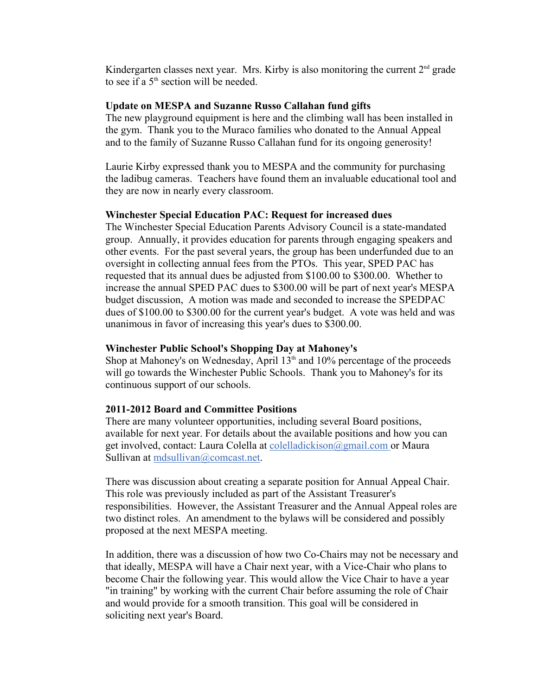Kindergarten classes next year. Mrs. Kirby is also monitoring the current  $2<sup>nd</sup>$  grade to see if a  $5<sup>th</sup>$  section will be needed.

### **Update on MESPA and Suzanne Russo Callahan fund gifts**

The new playground equipment is here and the climbing wall has been installed in the gym. Thank you to the Muraco families who donated to the Annual Appeal and to the family of Suzanne Russo Callahan fund for its ongoing generosity!

Laurie Kirby expressed thank you to MESPA and the community for purchasing the ladibug cameras. Teachers have found them an invaluable educational tool and they are now in nearly every classroom.

### **Winchester Special Education PAC: Request for increased dues**

The Winchester Special Education Parents Advisory Council is a state-mandated group. Annually, it provides education for parents through engaging speakers and other events. For the past several years, the group has been underfunded due to an oversight in collecting annual fees from the PTOs. This year, SPED PAC has requested that its annual dues be adjusted from \$100.00 to \$300.00. Whether to increase the annual SPED PAC dues to \$300.00 will be part of next year's MESPA budget discussion, A motion was made and seconded to increase the SPEDPAC dues of \$100.00 to \$300.00 for the current year's budget. A vote was held and was unanimous in favor of increasing this year's dues to \$300.00.

### **Winchester Public School's Shopping Day at Mahoney's**

Shop at Mahoney's on Wednesday, April  $13<sup>th</sup>$  and  $10<sup>o</sup>$  percentage of the proceeds will go towards the Winchester Public Schools. Thank you to Mahoney's for its continuous support of our schools.

# **2011-2012 Board and Committee Positions**

There are many volunteer opportunities, including several Board positions, available for next year. For details about the available positions and how you can get involved, contact: Laura Colella at colelladickison@gmail.com or Maura Sullivan at mdsullivan@comcast.net.

There was discussion about creating a separate position for Annual Appeal Chair. This role was previously included as part of the Assistant Treasurer's responsibilities. However, the Assistant Treasurer and the Annual Appeal roles are two distinct roles. An amendment to the bylaws will be considered and possibly proposed at the next MESPA meeting.

In addition, there was a discussion of how two Co-Chairs may not be necessary and that ideally, MESPA will have a Chair next year, with a Vice-Chair who plans to become Chair the following year. This would allow the Vice Chair to have a year "in training" by working with the current Chair before assuming the role of Chair and would provide for a smooth transition. This goal will be considered in soliciting next year's Board.